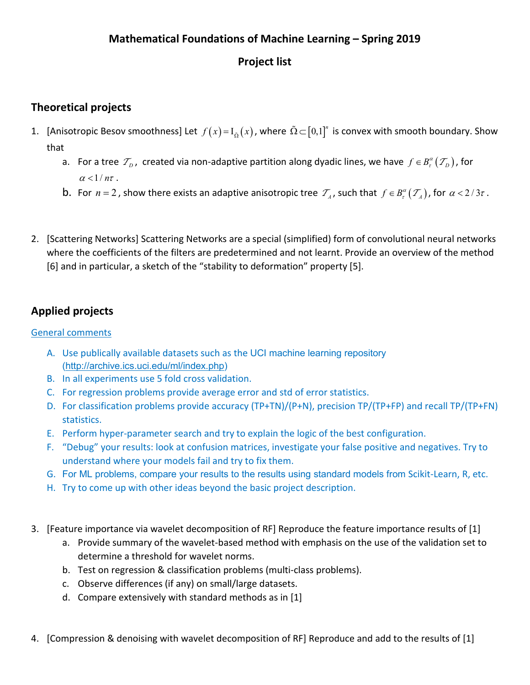#### **Mathematical Foundations of Machine Learning – Spring 2019**

# **Project list**

## **Theoretical projects**

- 1. [Anisotropic Besov smoothness] Let  $f(x)$  =  $I_{\tilde\Omega}(x)$ , where  $\tilde\Omega$   $\subset$   $[0,1]^{n}$  is convex with smooth boundary. Show that
	- a. For a tree  $\mathcal{T}_D$ , created via non-adaptive partition along dyadic lines, we have  $f \in B_r^{\alpha}(\mathcal{T}_D)$ , for  $\alpha$  < 1/ $n\tau$ .
	- b. For  $n = 2$ , show there exists an adaptive anisotropic tree  $\mathcal{T}_A$ , such that  $f \in B_r^{\alpha}(\mathcal{T}_A)$ , for  $\alpha < 2/3\tau$ .
- 2. [Scattering Networks] Scattering Networks are a special (simplified) form of convolutional neural networks where the coefficients of the filters are predetermined and not learnt. Provide an overview of the method [6] and in particular, a sketch of the "stability to deformation" property [5].

# **Applied projects**

#### General comments

- A. Use publically available datasets such as the UCI machine learning repository [\(http://archive.ics.uci.edu/ml/index.php\)](http://archive.ics.uci.edu/ml/index.php)
- B. In all experiments use 5 fold cross validation.
- C. For regression problems provide average error and std of error statistics.
- D. For classification problems provide accuracy (TP+TN)/(P+N), precision TP/(TP+FP) and recall TP/(TP+FN) statistics.
- E. Perform hyper-parameter search and try to explain the logic of the best configuration.
- F. "Debug" your results: look at confusion matrices, investigate your false positive and negatives. Try to understand where your models fail and try to fix them.
- G. For ML problems, compare your results to the results using standard models from Scikit-Learn, R, etc.
- H. Try to come up with other ideas beyond the basic project description.
- 3. [Feature importance via wavelet decomposition of RF] Reproduce the feature importance results of [1]
	- a. Provide summary of the wavelet-based method with emphasis on the use of the validation set to determine a threshold for wavelet norms.
	- b. Test on regression & classification problems (multi-class problems).
	- c. Observe differences (if any) on small/large datasets.
	- d. Compare extensively with standard methods as in [1]
- 4. [Compression & denoising with wavelet decomposition of RF] Reproduce and add to the results of [1]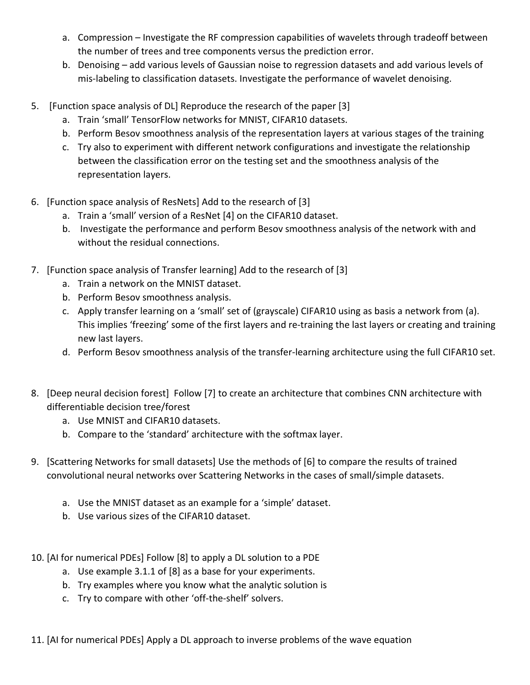- a. Compression Investigate the RF compression capabilities of wavelets through tradeoff between the number of trees and tree components versus the prediction error.
- b. Denoising add various levels of Gaussian noise to regression datasets and add various levels of mis-labeling to classification datasets. Investigate the performance of wavelet denoising.
- 5. [Function space analysis of DL] Reproduce the research of the paper [3]
	- a. Train 'small' TensorFlow networks for MNIST, CIFAR10 datasets.
	- b. Perform Besov smoothness analysis of the representation layers at various stages of the training
	- c. Try also to experiment with different network configurations and investigate the relationship between the classification error on the testing set and the smoothness analysis of the representation layers.
- 6. [Function space analysis of ResNets] Add to the research of [3]
	- a. Train a 'small' version of a ResNet [4] on the CIFAR10 dataset.
	- b. Investigate the performance and perform Besov smoothness analysis of the network with and without the residual connections.
- 7. [Function space analysis of Transfer learning] Add to the research of [3]
	- a. Train a network on the MNIST dataset.
	- b. Perform Besov smoothness analysis.
	- c. Apply transfer learning on a 'small' set of (grayscale) CIFAR10 using as basis a network from (a). This implies 'freezing' some of the first layers and re-training the last layers or creating and training new last layers.
	- d. Perform Besov smoothness analysis of the transfer-learning architecture using the full CIFAR10 set.
- 8. [Deep neural decision forest] Follow [7] to create an architecture that combines CNN architecture with differentiable decision tree/forest
	- a. Use MNIST and CIFAR10 datasets.
	- b. Compare to the 'standard' architecture with the softmax layer.
- 9. [Scattering Networks for small datasets] Use the methods of [6] to compare the results of trained convolutional neural networks over Scattering Networks in the cases of small/simple datasets.
	- a. Use the MNIST dataset as an example for a 'simple' dataset.
	- b. Use various sizes of the CIFAR10 dataset.
- 10. [AI for numerical PDEs] Follow [8] to apply a DL solution to a PDE
	- a. Use example 3.1.1 of [8] as a base for your experiments.
	- b. Try examples where you know what the analytic solution is
	- c. Try to compare with other 'off-the-shelf' solvers.